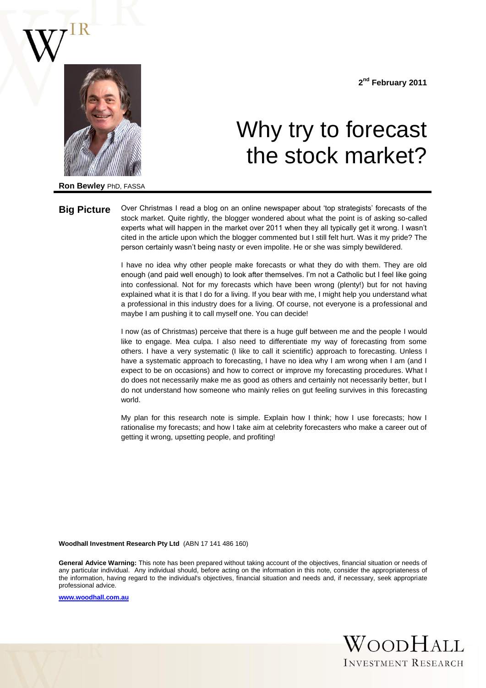

**2 nd February 2011**

# Why try to forecast the stock market?

**Ron Bewley** PhD, FASSA

**Big Picture** Over Christmas I read a blog on an online newspaper about 'top strategists' forecasts of the stock market. Quite rightly, the blogger wondered about what the point is of asking so-called experts what will happen in the market over 2011 when they all typically get it wrong. I wasn't cited in the article upon which the blogger commented but I still felt hurt. Was it my pride? The person certainly wasn't being nasty or even impolite. He or she was simply bewildered.

> I have no idea why other people make forecasts or what they do with them. They are old enough (and paid well enough) to look after themselves. I'm not a Catholic but I feel like going into confessional. Not for my forecasts which have been wrong (plenty!) but for not having explained what it is that I do for a living. If you bear with me, I might help you understand what a professional in this industry does for a living. Of course, not everyone is a professional and maybe I am pushing it to call myself one. You can decide!

> I now (as of Christmas) perceive that there is a huge gulf between me and the people I would like to engage. Mea culpa. I also need to differentiate my way of forecasting from some others. I have a very systematic (I like to call it scientific) approach to forecasting. Unless I have a systematic approach to forecasting, I have no idea why I am wrong when I am (and I expect to be on occasions) and how to correct or improve my forecasting procedures. What I do does not necessarily make me as good as others and certainly not necessarily better, but I do not understand how someone who mainly relies on gut feeling survives in this forecasting world.

> My plan for this research note is simple. Explain how I think; how I use forecasts; how I rationalise my forecasts; and how I take aim at celebrity forecasters who make a career out of getting it wrong, upsetting people, and profiting!

**Woodhall Investment Research Pty Ltd** (ABN 17 141 486 160)

**General Advice Warning:** This note has been prepared without taking account of the objectives, financial situation or needs of any particular individual. Any individual should, before acting on the information in this note, consider the appropriateness of the information, having regard to the individual's objectives, financial situation and needs and, if necessary, seek appropriate professional advice.

**[www.woodhall.com.au](http://www.woodhall.com.au/)**

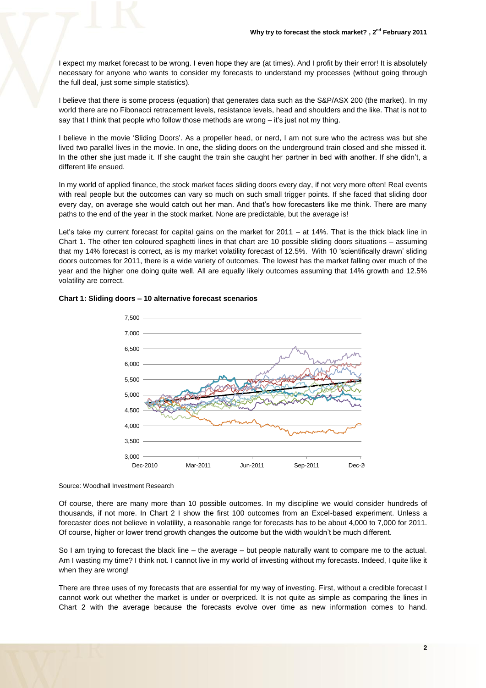I expect my market forecast to be wrong. I even hope they are (at times). And I profit by their error! It is absolutely necessary for anyone who wants to consider my forecasts to understand my processes (without going through the full deal, just some simple statistics).

I believe that there is some process (equation) that generates data such as the S&P/ASX 200 (the market). In my world there are no Fibonacci retracement levels, resistance levels, head and shoulders and the like. That is not to say that I think that people who follow those methods are wrong – it's just not my thing.

I believe in the movie 'Sliding Doors'. As a propeller head, or nerd, I am not sure who the actress was but she lived two parallel lives in the movie. In one, the sliding doors on the underground train closed and she missed it. In the other she just made it. If she caught the train she caught her partner in bed with another. If she didn't, a different life ensued.

In my world of applied finance, the stock market faces sliding doors every day, if not very more often! Real events with real people but the outcomes can vary so much on such small trigger points. If she faced that sliding door every day, on average she would catch out her man. And that's how forecasters like me think. There are many paths to the end of the year in the stock market. None are predictable, but the average is!

Let's take my current forecast for capital gains on the market for 2011 – at 14%. That is the thick black line in Chart 1. The other ten coloured spaghetti lines in that chart are 10 possible sliding doors situations – assuming that my 14% forecast is correct, as is my market volatility forecast of 12.5%. With 10 'scientifically drawn' sliding doors outcomes for 2011, there is a wide variety of outcomes. The lowest has the market falling over much of the year and the higher one doing quite well. All are equally likely outcomes assuming that 14% growth and 12.5% volatility are correct.



### **Chart 1: Sliding doors – 10 alternative forecast scenarios**

Source: Woodhall Investment Research

Of course, there are many more than 10 possible outcomes. In my discipline we would consider hundreds of thousands, if not more. In Chart 2 I show the first 100 outcomes from an Excel-based experiment. Unless a forecaster does not believe in volatility, a reasonable range for forecasts has to be about 4,000 to 7,000 for 2011. Of course, higher or lower trend growth changes the outcome but the width wouldn't be much different.

So I am trying to forecast the black line – the average – but people naturally want to compare me to the actual. Am I wasting my time? I think not. I cannot live in my world of investing without my forecasts. Indeed, I quite like it when they are wrong!

There are three uses of my forecasts that are essential for my way of investing. First, without a credible forecast I cannot work out whether the market is under or overpriced. It is not quite as simple as comparing the lines in Chart 2 with the average because the forecasts evolve over time as new information comes to hand.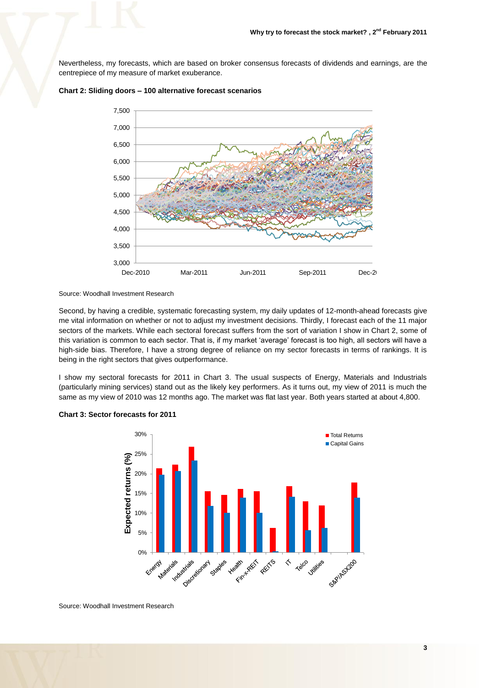Nevertheless, my forecasts, which are based on broker consensus forecasts of dividends and earnings, are the centrepiece of my measure of market exuberance.



## **Chart 2: Sliding doors – 100 alternative forecast scenarios**

Source: Woodhall Investment Research

Second, by having a credible, systematic forecasting system, my daily updates of 12-month-ahead forecasts give me vital information on whether or not to adjust my investment decisions. Thirdly, I forecast each of the 11 major sectors of the markets. While each sectoral forecast suffers from the sort of variation I show in Chart 2, some of this variation is common to each sector. That is, if my market 'average' forecast is too high, all sectors will have a high-side bias. Therefore, I have a strong degree of reliance on my sector forecasts in terms of rankings. It is being in the right sectors that gives outperformance.

I show my sectoral forecasts for 2011 in Chart 3. The usual suspects of Energy, Materials and Industrials (particularly mining services) stand out as the likely key performers. As it turns out, my view of 2011 is much the same as my view of 2010 was 12 months ago. The market was flat last year. Both years started at about 4,800.



# **Chart 3: Sector forecasts for 2011**

Source: Woodhall Investment Research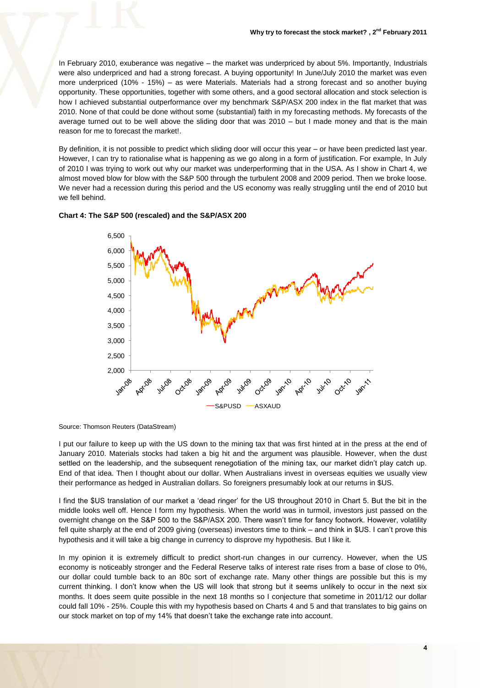In February 2010, exuberance was negative – the market was underpriced by about 5%. Importantly, Industrials were also underpriced and had a strong forecast. A buying opportunity! In June/July 2010 the market was even more underpriced (10% - 15%) – as were Materials. Materials had a strong forecast and so another buying opportunity. These opportunities, together with some others, and a good sectoral allocation and stock selection is how I achieved substantial outperformance over my benchmark S&P/ASX 200 index in the flat market that was 2010. None of that could be done without some (substantial) faith in my forecasting methods. My forecasts of the average turned out to be well above the sliding door that was 2010 – but I made money and that is the main reason for me to forecast the market!.

By definition, it is not possible to predict which sliding door will occur this year – or have been predicted last year. However, I can try to rationalise what is happening as we go along in a form of justification. For example, In July of 2010 I was trying to work out why our market was underperforming that in the USA. As I show in Chart 4, we almost moved blow for blow with the S&P 500 through the turbulent 2008 and 2009 period. Then we broke loose. We never had a recession during this period and the US economy was really struggling until the end of 2010 but we fell behind.





Source: Thomson Reuters (DataStream)

I put our failure to keep up with the US down to the mining tax that was first hinted at in the press at the end of January 2010. Materials stocks had taken a big hit and the argument was plausible. However, when the dust settled on the leadership, and the subsequent renegotiation of the mining tax, our market didn't play catch up. End of that idea. Then I thought about our dollar. When Australians invest in overseas equities we usually view their performance as hedged in Australian dollars. So foreigners presumably look at our returns in \$US.

I find the \$US translation of our market a 'dead ringer' for the US throughout 2010 in Chart 5. But the bit in the middle looks well off. Hence I form my hypothesis. When the world was in turmoil, investors just passed on the overnight change on the S&P 500 to the S&P/ASX 200. There wasn't time for fancy footwork. However, volatility fell quite sharply at the end of 2009 giving (overseas) investors time to think – and think in \$US. I can't prove this hypothesis and it will take a big change in currency to disprove my hypothesis. But I like it.

In my opinion it is extremely difficult to predict short-run changes in our currency. However, when the US economy is noticeably stronger and the Federal Reserve talks of interest rate rises from a base of close to 0%, our dollar could tumble back to an 80c sort of exchange rate. Many other things are possible but this is my current thinking. I don't know when the US will look that strong but it seems unlikely to occur in the next six months. It does seem quite possible in the next 18 months so I conjecture that sometime in 2011/12 our dollar could fall 10% - 25%. Couple this with my hypothesis based on Charts 4 and 5 and that translates to big gains on our stock market on top of my 14% that doesn't take the exchange rate into account.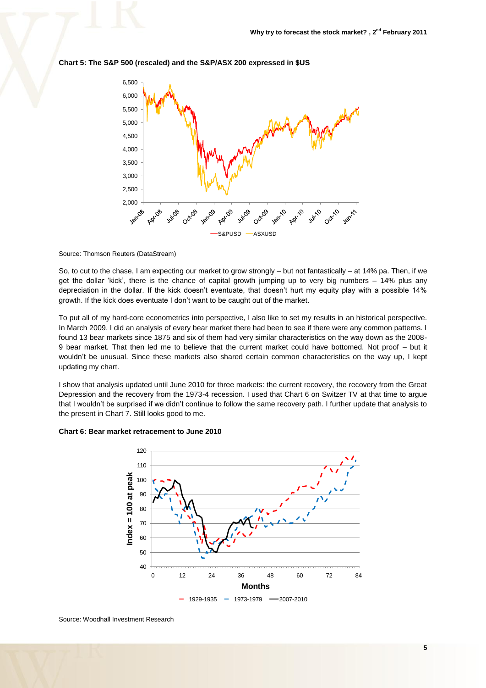

#### **Chart 5: The S&P 500 (rescaled) and the S&P/ASX 200 expressed in \$US**

#### Source: Thomson Reuters (DataStream)

So, to cut to the chase, I am expecting our market to grow strongly – but not fantastically – at 14% pa. Then, if we get the dollar 'kick', there is the chance of capital growth jumping up to very big numbers – 14% plus any depreciation in the dollar. If the kick doesn't eventuate, that doesn't hurt my equity play with a possible 14% growth. If the kick does eventuate I don't want to be caught out of the market.

To put all of my hard-core econometrics into perspective, I also like to set my results in an historical perspective. In March 2009, I did an analysis of every bear market there had been to see if there were any common patterns. I found 13 bear markets since 1875 and six of them had very similar characteristics on the way down as the 2008- 9 bear market. That then led me to believe that the current market could have bottomed. Not proof – but it wouldn't be unusual. Since these markets also shared certain common characteristics on the way up, I kept updating my chart.

I show that analysis updated until June 2010 for three markets: the current recovery, the recovery from the Great Depression and the recovery from the 1973-4 recession. I used that Chart 6 on Switzer TV at that time to argue that I wouldn't be surprised if we didn't continue to follow the same recovery path. I further update that analysis to the present in Chart 7. Still looks good to me.

#### **Chart 6: Bear market retracement to June 2010**



Source: Woodhall Investment Research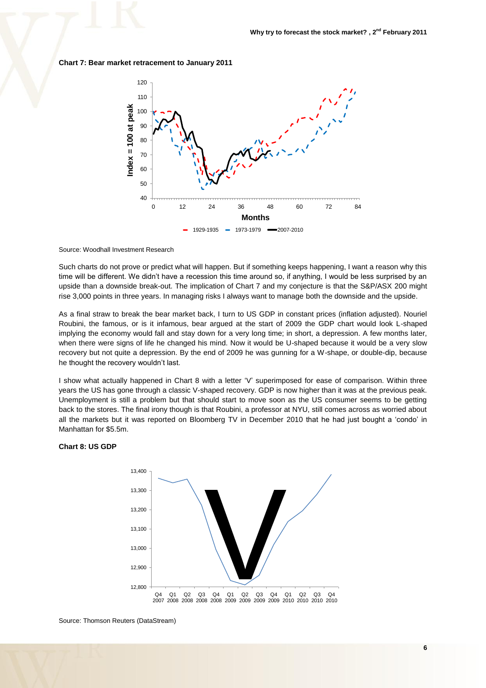**Chart 7: Bear market retracement to January 2011**



Source: Woodhall Investment Research

Such charts do not prove or predict what will happen. But if something keeps happening, I want a reason why this time will be different. We didn't have a recession this time around so, if anything, I would be less surprised by an upside than a downside break-out. The implication of Chart 7 and my conjecture is that the S&P/ASX 200 might rise 3,000 points in three years. In managing risks I always want to manage both the downside and the upside.

As a final straw to break the bear market back, I turn to US GDP in constant prices (inflation adjusted). Nouriel Roubini, the famous, or is it infamous, bear argued at the start of 2009 the GDP chart would look L-shaped implying the economy would fall and stay down for a very long time; in short, a depression. A few months later, when there were signs of life he changed his mind. Now it would be U-shaped because it would be a very slow recovery but not quite a depression. By the end of 2009 he was gunning for a W-shape, or double-dip, because he thought the recovery wouldn't last.

I show what actually happened in Chart 8 with a letter 'V' superimposed for ease of comparison. Within three years the US has gone through a classic V-shaped recovery. GDP is now higher than it was at the previous peak. Unemployment is still a problem but that should start to move soon as the US consumer seems to be getting back to the stores. The final irony though is that Roubini, a professor at NYU, still comes across as worried about all the markets but it was reported on Bloomberg TV in December 2010 that he had just bought a 'condo' in Manhattan for \$5.5m.

#### **Chart 8: US GDP**



Source: Thomson Reuters (DataStream)